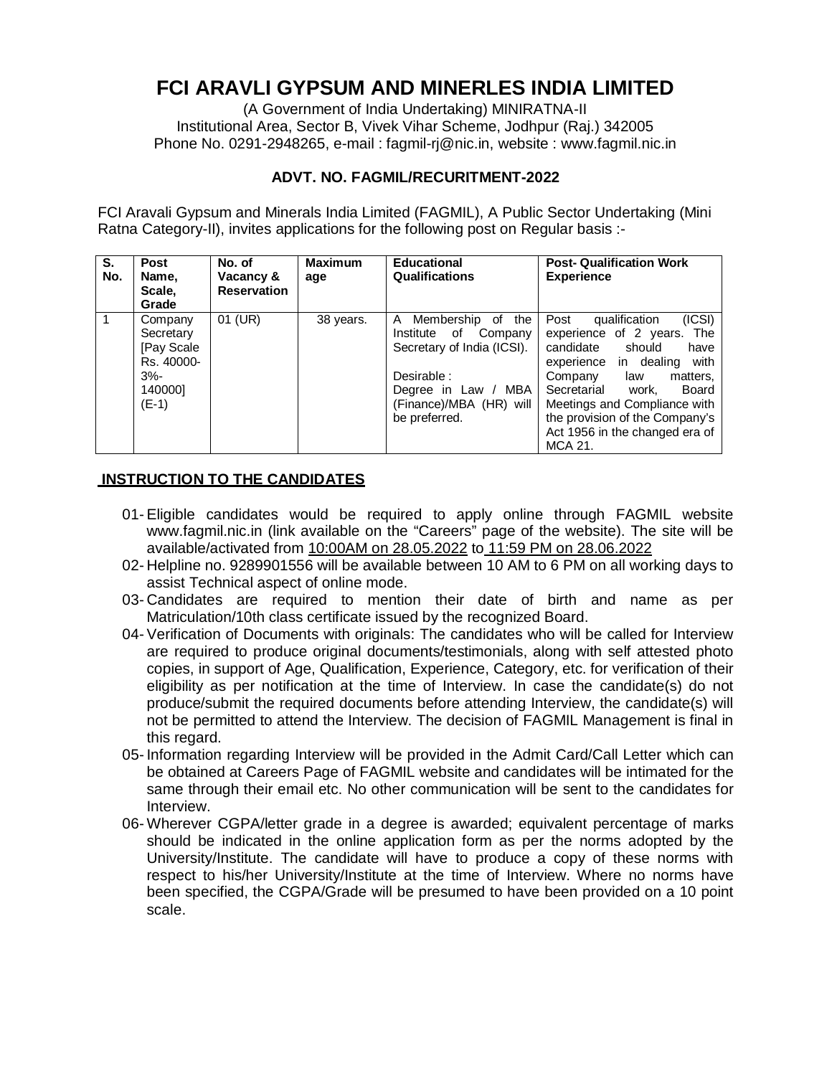# **FCI ARAVLI GYPSUM AND MINERLES INDIA LIMITED**

(A Government of India Undertaking) MINIRATNA-II Institutional Area, Sector B, Vivek Vihar Scheme, Jodhpur (Raj.) 342005 Phone No. 0291-2948265, e-mail : [fagmil-rj@nic.in,](mailto:fagmil-rj@nic.in,) website : [www.fagmil.nic.in](http://www.fagmil.nic.in)

## **ADVT. NO. FAGMIL/RECURITMENT-2022**

FCI Aravali Gypsum and Minerals India Limited (FAGMIL), A Public Sector Undertaking (Mini Ratna Category-II), invites applications for the following post on Regular basis :-

| S.<br>No. | <b>Post</b><br>Name,<br>Scale,<br>Grade                                           | No. of<br>Vacancy &<br><b>Reservation</b> | <b>Maximum</b><br>age | <b>Educational</b><br>Qualifications                                                                                                                                    | <b>Post- Qualification Work</b><br><b>Experience</b>                                                                                                                                                                                                                                                     |
|-----------|-----------------------------------------------------------------------------------|-------------------------------------------|-----------------------|-------------------------------------------------------------------------------------------------------------------------------------------------------------------------|----------------------------------------------------------------------------------------------------------------------------------------------------------------------------------------------------------------------------------------------------------------------------------------------------------|
|           | Company<br>Secretary<br>[Pay Scale]<br>Rs. 40000-<br>$3% -$<br>1400001<br>$(E-1)$ | 01 (UR)                                   | 38 years.             | Membership<br>of the<br>A<br>Institute of<br>Company<br>Secretary of India (ICSI).<br>Desirable :<br>MBA<br>Degree in Law /<br>(Finance)/MBA (HR) will<br>be preferred. | (ICSI)<br>Post<br>qualification<br>experience of 2 years. The<br>candidate should<br>have<br>with<br>experience in dealing<br>Company<br>matters,<br>law<br>Secretarial<br>work.<br>Board<br>Meetings and Compliance with<br>the provision of the Company's<br>Act 1956 in the changed era of<br>MCA 21. |

## **INSTRUCTION TO THE CANDIDATES**

- 01- Eligible candidates would be required to apply online through FAGMIL website [www.fagmil.nic.in](http://www.fagmil.nic.in) (link available on the "Careers" page of the website). The site will be available/activated from 10:00AM on 28.05.2022 to 11:59 PM on 28.06.2022
- 02- Helpline no. 9289901556 will be available between 10 AM to 6 PM on all working days to assist Technical aspect of online mode.
- 03- Candidates are required to mention their date of birth and name as per Matriculation/10th class certificate issued by the recognized Board.
- 04- Verification of Documents with originals: The candidates who will be called for Interview are required to produce original documents/testimonials, along with self attested photo copies, in support of Age, Qualification, Experience, Category, etc. for verification of their eligibility as per notification at the time of Interview. In case the candidate(s) do not produce/submit the required documents before attending Interview, the candidate(s) will not be permitted to attend the Interview. The decision of FAGMIL Management is final in this regard.
- 05- Information regarding Interview will be provided in the Admit Card/Call Letter which can be obtained at Careers Page of FAGMIL website and candidates will be intimated for the same through their email etc. No other communication will be sent to the candidates for Interview.
- 06- Wherever CGPA/letter grade in a degree is awarded; equivalent percentage of marks should be indicated in the online application form as per the norms adopted by the University/Institute. The candidate will have to produce a copy of these norms with respect to his/her University/Institute at the time of Interview. Where no norms have been specified, the CGPA/Grade will be presumed to have been provided on a 10 point scale.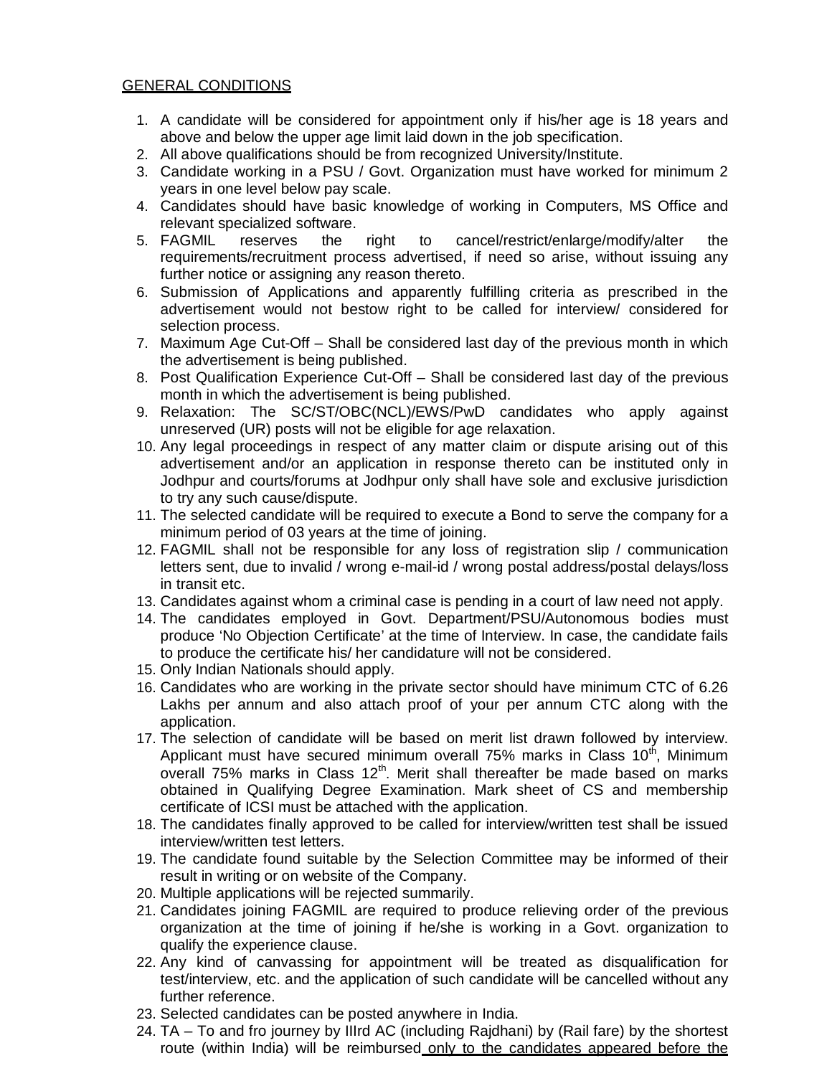## GENERAL CONDITIONS

- 1. A candidate will be considered for appointment only if his/her age is 18 years and above and below the upper age limit laid down in the job specification.
- 2. All above qualifications should be from recognized University/Institute.
- 3. Candidate working in a PSU / Govt. Organization must have worked for minimum 2 years in one level below pay scale.
- 4. Candidates should have basic knowledge of working in Computers, MS Office and relevant specialized software.
- 5. FAGMIL reserves the right to cancel/restrict/enlarge/modify/alter the requirements/recruitment process advertised, if need so arise, without issuing any further notice or assigning any reason thereto.
- 6. Submission of Applications and apparently fulfilling criteria as prescribed in the advertisement would not bestow right to be called for interview/ considered for selection process.
- 7. Maximum Age Cut-Off Shall be considered last day of the previous month in which the advertisement is being published.
- 8. Post Qualification Experience Cut-Off Shall be considered last day of the previous month in which the advertisement is being published.
- 9. Relaxation: The SC/ST/OBC(NCL)/EWS/PwD candidates who apply against unreserved (UR) posts will not be eligible for age relaxation.
- 10. Any legal proceedings in respect of any matter claim or dispute arising out of this advertisement and/or an application in response thereto can be instituted only in Jodhpur and courts/forums at Jodhpur only shall have sole and exclusive jurisdiction to try any such cause/dispute.
- 11. The selected candidate will be required to execute a Bond to serve the company for a minimum period of 03 years at the time of joining.
- 12. FAGMIL shall not be responsible for any loss of registration slip / communication letters sent, due to invalid / wrong e-mail-id / wrong postal address/postal delays/loss in transit etc.
- 13. Candidates against whom a criminal case is pending in a court of law need not apply.
- 14. The candidates employed in Govt. Department/PSU/Autonomous bodies must produce 'No Objection Certificate' at the time of Interview. In case, the candidate fails to produce the certificate his/ her candidature will not be considered.
- 15. Only Indian Nationals should apply.
- 16. Candidates who are working in the private sector should have minimum CTC of 6.26 Lakhs per annum and also attach proof of your per annum CTC along with the application.
- 17. The selection of candidate will be based on merit list drawn followed by interview. Applicant must have secured minimum overall 75% marks in Class 10<sup>th</sup>, Minimum overall 75% marks in Class  $12<sup>th</sup>$ . Merit shall thereafter be made based on marks obtained in Qualifying Degree Examination. Mark sheet of CS and membership certificate of ICSI must be attached with the application.
- 18. The candidates finally approved to be called for interview/written test shall be issued interview/written test letters.
- 19. The candidate found suitable by the Selection Committee may be informed of their result in writing or on website of the Company.
- 20. Multiple applications will be rejected summarily.
- 21. Candidates joining FAGMIL are required to produce relieving order of the previous organization at the time of joining if he/she is working in a Govt. organization to qualify the experience clause.
- 22. Any kind of canvassing for appointment will be treated as disqualification for test/interview, etc. and the application of such candidate will be cancelled without any further reference.
- 23. Selected candidates can be posted anywhere in India.
- 24. TA To and fro journey by IIIrd AC (including Rajdhani) by (Rail fare) by the shortest route (within India) will be reimbursed only to the candidates appeared before the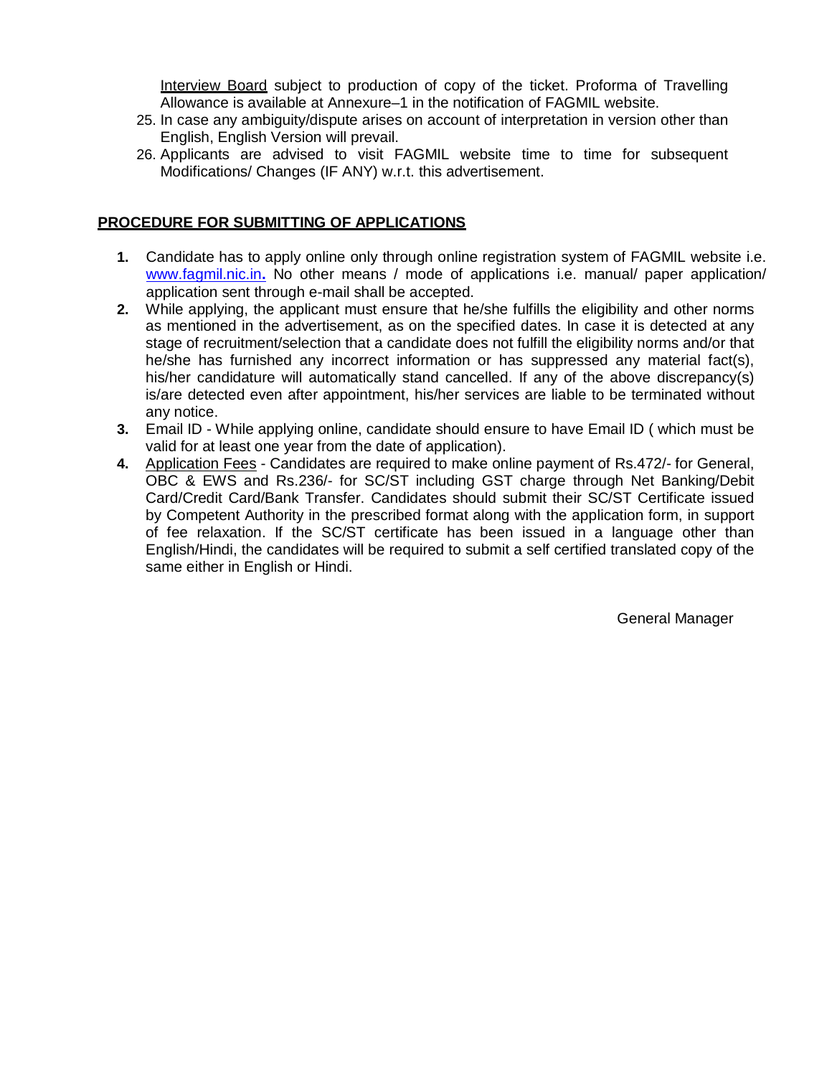Interview Board subject to production of copy of the ticket. Proforma of Travelling Allowance is available at Annexure–1 in the notification of FAGMIL website.

- 25. In case any ambiguity/dispute arises on account of interpretation in version other than English, English Version will prevail.
- 26. Applicants are advised to visit FAGMIL website time to time for subsequent Modifications/ Changes (IF ANY) w.r.t. this advertisement.

## **PROCEDURE FOR SUBMITTING OF APPLICATIONS**

- **1.** Candidate has to apply online only through online registration system of FAGMIL website i.e. [www.fagmil.nic.in](http://www.fagmil.nic.in)**.** No other means / mode of applications i.e. manual/ paper application/ application sent through e-mail shall be accepted.
- **2.** While applying, the applicant must ensure that he/she fulfills the eligibility and other norms as mentioned in the advertisement, as on the specified dates. In case it is detected at any stage of recruitment/selection that a candidate does not fulfill the eligibility norms and/or that he/she has furnished any incorrect information or has suppressed any material fact(s), his/her candidature will automatically stand cancelled. If any of the above discrepancy(s) is/are detected even after appointment, his/her services are liable to be terminated without any notice.
- **3.** Email ID While applying online, candidate should ensure to have Email ID ( which must be valid for at least one year from the date of application).
- **4.** Application Fees Candidates are required to make online payment of Rs.472/- for General, OBC & EWS and Rs.236/- for SC/ST including GST charge through Net Banking/Debit Card/Credit Card/Bank Transfer. Candidates should submit their SC/ST Certificate issued by Competent Authority in the prescribed format along with the application form, in support of fee relaxation. If the SC/ST certificate has been issued in a language other than English/Hindi, the candidates will be required to submit a self certified translated copy of the same either in English or Hindi.

General Manager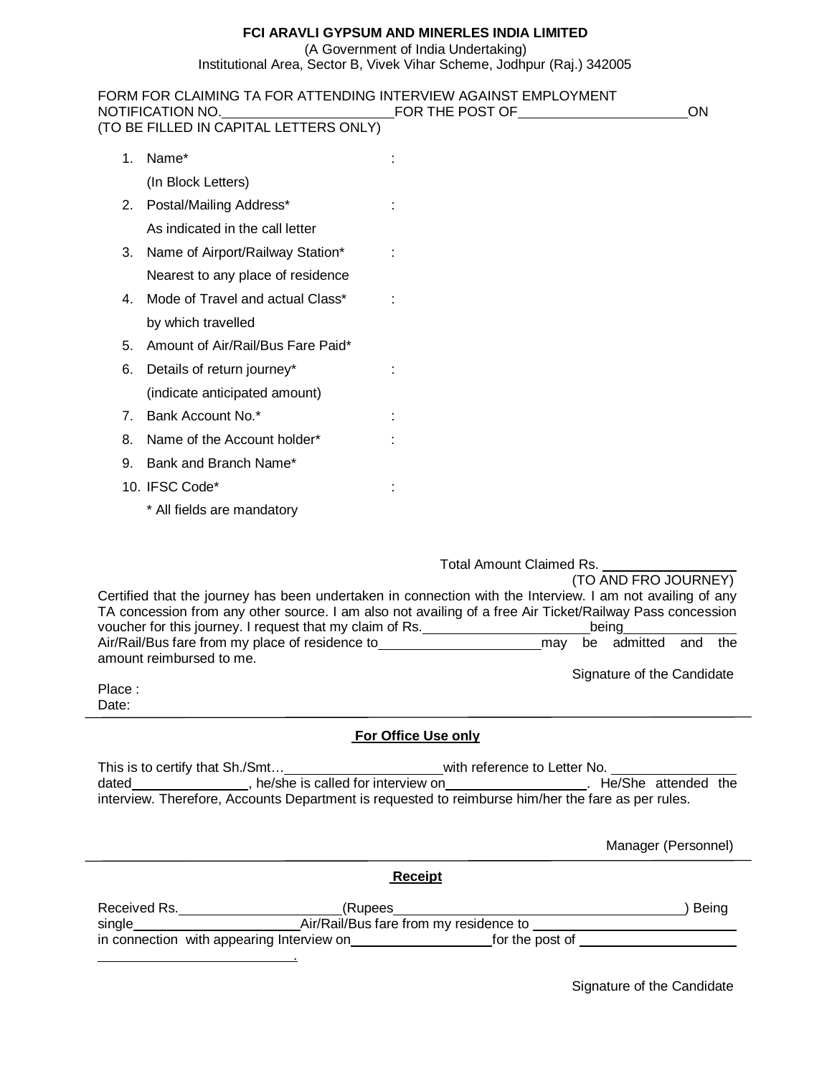## **FCI ARAVLI GYPSUM AND MINERLES INDIA LIMITED**

(A Government of India Undertaking)

Institutional Area, Sector B, Vivek Vihar Scheme, Jodhpur (Raj.) 342005

|        | FORM FOR CLAIMING TA FOR ATTENDING INTERVIEW AGAINST EMPLOYMENT<br>NOTIFICATION NO.<br>(TO BE FILLED IN CAPITAL LETTERS ONLY)                                                                                                                                                                                                                                                                     | FOR THE POST OF                       | ON                                                                                    |
|--------|---------------------------------------------------------------------------------------------------------------------------------------------------------------------------------------------------------------------------------------------------------------------------------------------------------------------------------------------------------------------------------------------------|---------------------------------------|---------------------------------------------------------------------------------------|
|        |                                                                                                                                                                                                                                                                                                                                                                                                   |                                       |                                                                                       |
| 1.     | Name*                                                                                                                                                                                                                                                                                                                                                                                             |                                       |                                                                                       |
|        | (In Block Letters)                                                                                                                                                                                                                                                                                                                                                                                |                                       |                                                                                       |
| 2.     | Postal/Mailing Address*                                                                                                                                                                                                                                                                                                                                                                           |                                       |                                                                                       |
|        | As indicated in the call letter                                                                                                                                                                                                                                                                                                                                                                   |                                       |                                                                                       |
| 3.     | Name of Airport/Railway Station*                                                                                                                                                                                                                                                                                                                                                                  |                                       |                                                                                       |
|        | Nearest to any place of residence                                                                                                                                                                                                                                                                                                                                                                 |                                       |                                                                                       |
| 4.     | Mode of Travel and actual Class*                                                                                                                                                                                                                                                                                                                                                                  |                                       |                                                                                       |
|        | by which travelled                                                                                                                                                                                                                                                                                                                                                                                |                                       |                                                                                       |
| 5.     | Amount of Air/Rail/Bus Fare Paid*                                                                                                                                                                                                                                                                                                                                                                 |                                       |                                                                                       |
| 6.     | Details of return journey*                                                                                                                                                                                                                                                                                                                                                                        |                                       |                                                                                       |
|        | (indicate anticipated amount)                                                                                                                                                                                                                                                                                                                                                                     |                                       |                                                                                       |
| 7.     | Bank Account No.*                                                                                                                                                                                                                                                                                                                                                                                 |                                       |                                                                                       |
| 8.     | Name of the Account holder*                                                                                                                                                                                                                                                                                                                                                                       |                                       |                                                                                       |
| 9.     | Bank and Branch Name*                                                                                                                                                                                                                                                                                                                                                                             |                                       |                                                                                       |
|        | 10. IFSC Code*                                                                                                                                                                                                                                                                                                                                                                                    |                                       |                                                                                       |
|        | * All fields are mandatory                                                                                                                                                                                                                                                                                                                                                                        |                                       |                                                                                       |
| Place: | Certified that the journey has been undertaken in connection with the Interview. I am not availing of any<br>TA concession from any other source. I am also not availing of a free Air Ticket/Railway Pass concession<br>voucher for this journey. I request that my claim of Rs.<br>Air/Rail/Bus fare from my place of residence to_________________________________<br>amount reimbursed to me. | Total Amount Claimed Rs.<br>may<br>be | (TO AND FRO JOURNEY)<br>being<br>admitted<br>the<br>and<br>Signature of the Candidate |
| Date:  |                                                                                                                                                                                                                                                                                                                                                                                                   |                                       |                                                                                       |
|        |                                                                                                                                                                                                                                                                                                                                                                                                   | For Office Use only                   |                                                                                       |
|        |                                                                                                                                                                                                                                                                                                                                                                                                   |                                       |                                                                                       |
|        |                                                                                                                                                                                                                                                                                                                                                                                                   |                                       |                                                                                       |
|        |                                                                                                                                                                                                                                                                                                                                                                                                   |                                       | Manager (Personnel)                                                                   |
|        |                                                                                                                                                                                                                                                                                                                                                                                                   | <b>Receipt</b>                        |                                                                                       |
|        |                                                                                                                                                                                                                                                                                                                                                                                                   |                                       |                                                                                       |
|        |                                                                                                                                                                                                                                                                                                                                                                                                   |                                       |                                                                                       |
|        | <u> 1989 - Johann Barnett, fransk politiker (d. 1989)</u>                                                                                                                                                                                                                                                                                                                                         |                                       |                                                                                       |

Signature of the Candidate